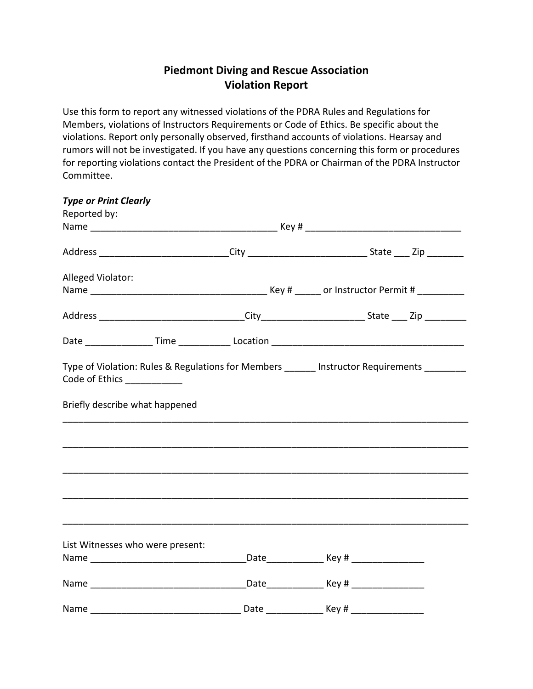## Piedmont Diving and Rescue Association Violation Report

Use this form to report any witnessed violations of the PDRA Rules and Regulations for Members, violations of Instructors Requirements or Code of Ethics. Be specific about the violations. Report only personally observed, firsthand accounts of violations. Hearsay and rumors will not be investigated. If you have any questions concerning this form or procedures for reporting violations contact the President of the PDRA or Chairman of the PDRA Instructor Committee.

| <b>Type or Print Clearly</b>   |                                  |  |                                                                                                    |  |
|--------------------------------|----------------------------------|--|----------------------------------------------------------------------------------------------------|--|
| Reported by:                   |                                  |  |                                                                                                    |  |
|                                |                                  |  |                                                                                                    |  |
|                                |                                  |  | Address _____________________________City _______________________________State ____ Zip __________ |  |
| Alleged Violator:              |                                  |  |                                                                                                    |  |
|                                |                                  |  |                                                                                                    |  |
|                                |                                  |  |                                                                                                    |  |
|                                |                                  |  |                                                                                                    |  |
| Code of Ethics _____________   |                                  |  | Type of Violation: Rules & Regulations for Members ______ Instructor Requirements _______          |  |
| Briefly describe what happened |                                  |  |                                                                                                    |  |
|                                |                                  |  |                                                                                                    |  |
|                                |                                  |  |                                                                                                    |  |
|                                |                                  |  |                                                                                                    |  |
|                                |                                  |  |                                                                                                    |  |
|                                |                                  |  |                                                                                                    |  |
|                                |                                  |  |                                                                                                    |  |
|                                |                                  |  |                                                                                                    |  |
|                                | List Witnesses who were present: |  |                                                                                                    |  |
|                                |                                  |  |                                                                                                    |  |
|                                |                                  |  |                                                                                                    |  |
| Name                           |                                  |  |                                                                                                    |  |